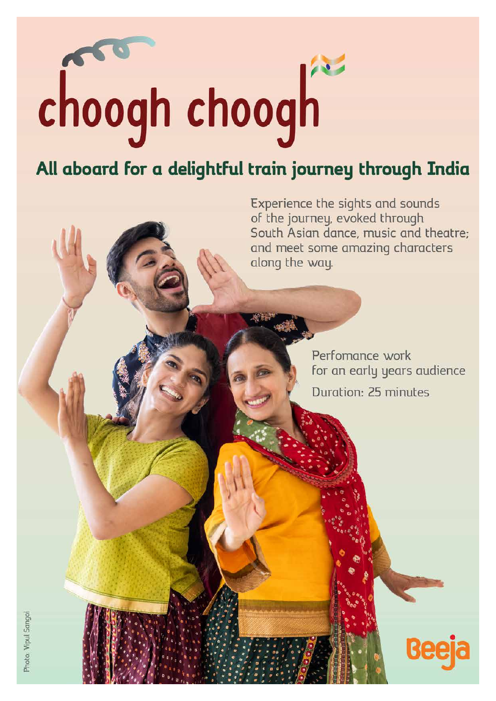# choogh choogh

# All aboard for a delightful train journey through India

Experience the sights and sounds of the journey, evoked through South Asian dance, music and theatre; and meet some amazing characters along the way.

> Perfomance work for an early years audience Duration: 25 minutes

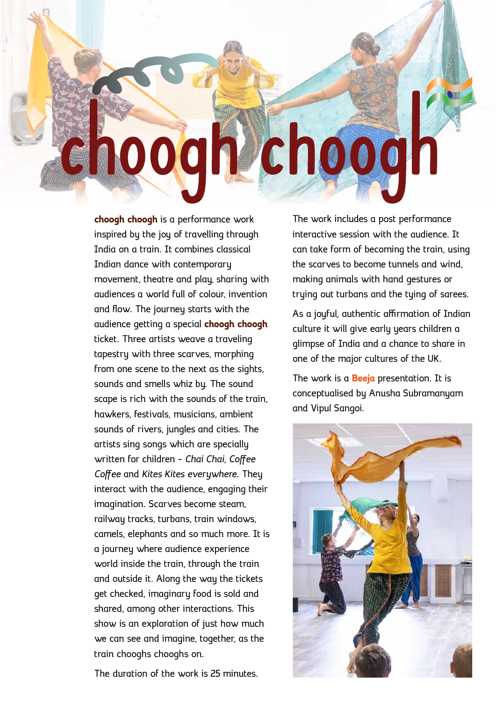# choogh choogh

**choogh choogh** is a performance work inspired by the joy of travelling through India on a train. It combines classical Indian dance with contemporary movement, theatre and play, sharing with audiences a world full of colour, invention and flow. The journey starts with the audience getting a special **choogh choogh** ticket. Three artists weave a traveling tapestry with three scarves, morphing from one scene to the next as the sights, sounds and smells whiz by. The sound scape is rich with the sounds of the train, hawkers, festivals, musicians, ambient sounds of rivers, jungles and cities. The artists sing songs which are specially written for children – *Chai Chai, Coffee Coffee* and *Kites Kites everywhere*. They interact with the audience, engaging their imagination. Scarves become steam, railway tracks, turbans, train windows, camels, elephants and so much more. It is a journey where audience experience world inside the train, through the train and outside it. Along the way the tickets get checked, imaginary food is sold and shared, among other interactions. This show is an exploration of just how much we can see and imagine, together, as the train chooghs chooghs on.

The work includes a post performance interactive session with the audience. It can take form of becoming the train, using the scarves to become tunnels and wind, making animals with hand gestures or trying out turbans and the tying of sarees.

As a joyful, authentic affirmation of Indian culture it will give early years children a glimpse of India and a chance to share in one of the major cultures of the UK.

The work is a **Beeja** presentation. It is conceptualised by Anusha Subramanyam and Vipul Sangoi.



The duration of the work is 25 minutes.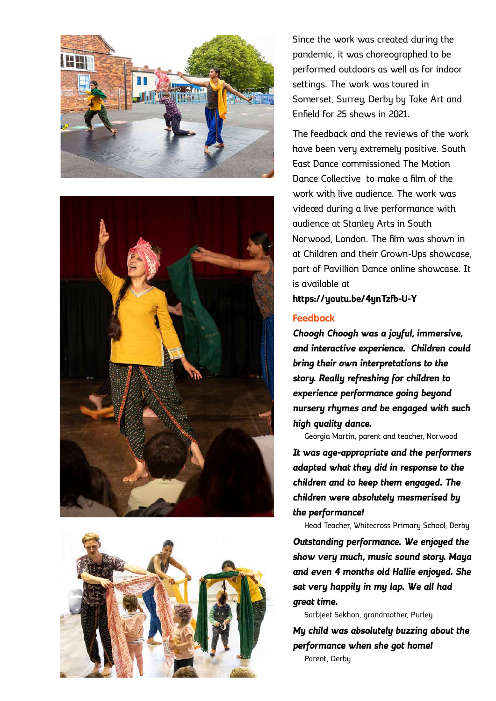





Since the work was created during the pandemic, it was choreographed to be performed outdoors as well as for indoor settings. The work was toured in Somerset, Surrey, Derby by Take Art and Enfield for 25 shows in 2021.

The feedback and the reviews of the work have been very extremely positive. South East Dance commissioned The Motion Dance Collective to make a film of the work with live audience. The work was videoed during a live performance with audience at Stanley Arts in South Norwood, London. The film was shown in at Children and their Grown-Ups showcase, part of Pavillion Dance online showcase. It is available at

**https://youtu.be/4ynTzfb-U-Y**

#### **Feedback**

*Choogh Choogh was a joyful, immersive, and interactive experience. Children could bring their own interpretations to the story. Really refreshing for children to experience performance going beyond nursery rhymes and be engaged with such high quality dance.*

Georgia Martin, parent and teacher, Norwood *It was age-appropriate and the performers adapted what they did in response to the children and to keep them engaged. The children were absolutely mesmerised by the performance!*

Head Teacher, Whitecross Primary School, Derby

*Outstanding performance. We enjoyed the show very much, music sound story. Maya and even 4 months old Hallie enjoyed. She sat very happily in my lap. We all had great time.*

Sarbjeet Sekhon, grandmother, Purley

*My child was absolutely buzzing about the performance when she got home!* Parent, Derby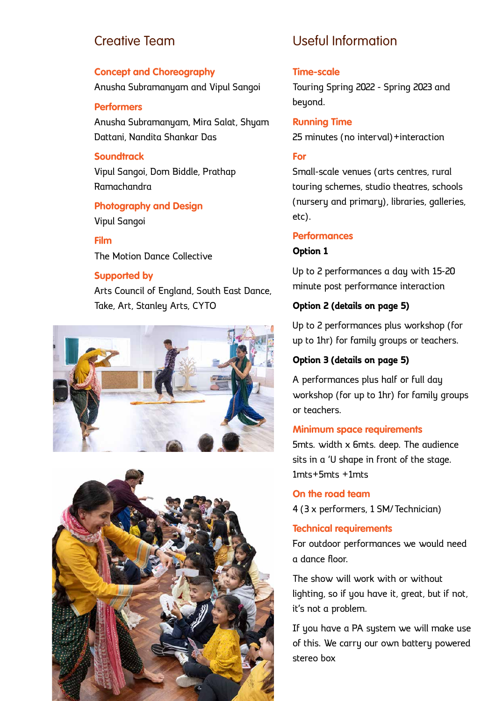## Creative Team

#### **Concept and Choreography**

Anusha Subramanyam and Vipul Sangoi

#### **Performers**

Anusha Subramanyam, Mira Salat, Shyam Dattani, Nandita Shankar Das

#### **Soundtrack**

Vipul Sangoi, Dom Biddle, Prathap Ramachandra

#### **Photography and Design** Vipul Sangoi

#### **Film**

The Motion Dance Collective

#### **Supported by**

Arts Council of England, South East Dance, Take, Art, Stanley Arts, CYTO





# Useful Information

#### **Time-scale**

Touring Spring 2022 - Spring 2023 and beyond.

#### **Running Time**

25 minutes (no interval)+interaction

#### **For**

Small-scale venues (arts centres, rural touring schemes, studio theatres, schools (nursery and primary), libraries, galleries, etc).

#### **Performances**

#### **Option 1**

Up to 2 performances a day with 15-20 minute post performance interaction

#### **Option 2 (details on page 5)**

Up to 2 performances plus workshop (for up to 1hr) for family groups or teachers.

#### **Option 3 (details on page 5)**

A performances plus half or full day workshop (for up to 1hr) for family groups or teachers.

#### **Minimum space requirements**

5mts. width x 6mts. deep. The audience sits in a 'U shape in front of the stage. 1mts+5mts +1mts

#### **On the road team**

4 (3 x performers, 1 SM/Technician)

#### **Technical requirements**

For outdoor performances we would need a dance floor.

The show will work with or without lighting, so if you have it, great, but if not, it's not a problem.

If you have a PA system we will make use of this. We carry our own battery powered stereo box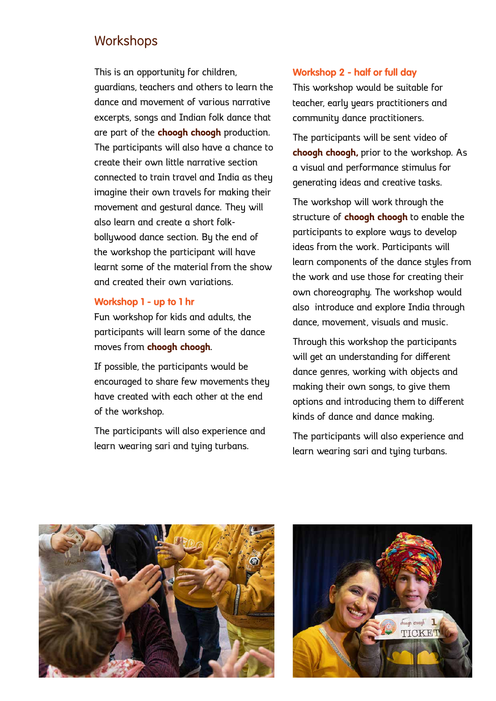### **Workshops**

This is an opportunity for children, guardians, teachers and others to learn the dance and movement of various narrative excerpts, songs and Indian folk dance that are part of the **choogh choogh** production. The participants will also have a chance to create their own little narrative section connected to train travel and India as they imagine their own travels for making their movement and gestural dance. They will also learn and create a short folkbollywood dance section. By the end of the workshop the participant will have learnt some of the material from the show and created their own variations.

#### **Workshop 1 - up to 1 hr**

Fun workshop for kids and adults, the participants will learn some of the dance moves from **choogh choogh**.

If possible, the participants would be encouraged to share few movements they have created with each other at the end of the workshop.

The participants will also experience and learn wearing sari and tying turbans.

#### **Workshop 2 - half or full day**

This workshop would be suitable for teacher, early years practitioners and community dance practitioners.

The participants will be sent video of **choogh choogh,** prior to the workshop. As a visual and performance stimulus for generating ideas and creative tasks.

The workshop will work through the structure of **choogh choogh** to enable the participants to explore ways to develop ideas from the work. Participants will learn components of the dance styles from the work and use those for creating their own choreography. The workshop would also introduce and explore India through dance, movement, visuals and music.

Through this workshop the participants will get an understanding for different dance genres, working with objects and making their own songs, to give them options and introducing them to different kinds of dance and dance making.

The participants will also experience and learn wearing sari and tying turbans.